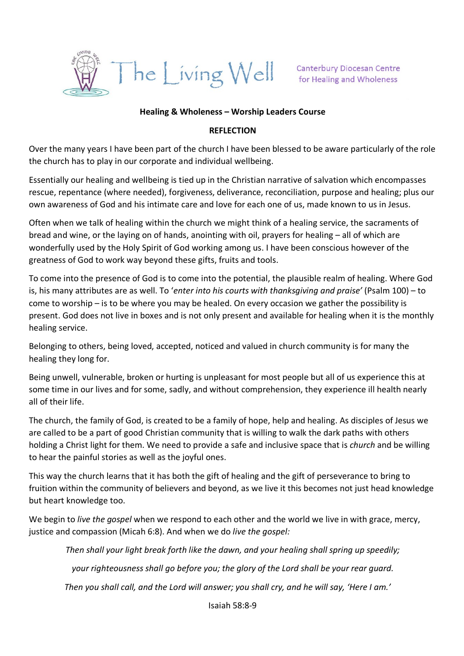

#### **Healing & Wholeness – Worship Leaders Course**

#### **REFLECTION**

Over the many years I have been part of the church I have been blessed to be aware particularly of the role the church has to play in our corporate and individual wellbeing.

Essentially our healing and wellbeing is tied up in the Christian narrative of salvation which encompasses rescue, repentance (where needed), forgiveness, deliverance, reconciliation, purpose and healing; plus our own awareness of God and his intimate care and love for each one of us, made known to us in Jesus.

Often when we talk of healing within the church we might think of a healing service, the sacraments of bread and wine, or the laying on of hands, anointing with oil, prayers for healing – all of which are wonderfully used by the Holy Spirit of God working among us. I have been conscious however of the greatness of God to work way beyond these gifts, fruits and tools.

To come into the presence of God is to come into the potential, the plausible realm of healing. Where God is, his many attributes are as well. To '*enter into his courts with thanksgiving and praise'* (Psalm 100) – to come to worship – is to be where you may be healed. On every occasion we gather the possibility is present. God does not live in boxes and is not only present and available for healing when it is the monthly healing service.

Belonging to others, being loved, accepted, noticed and valued in church community is for many the healing they long for.

Being unwell, vulnerable, broken or hurting is unpleasant for most people but all of us experience this at some time in our lives and for some, sadly, and without comprehension, they experience ill health nearly all of their life.

The church, the family of God, is created to be a family of hope, help and healing. As disciples of Jesus we are called to be a part of good Christian community that is willing to walk the dark paths with others holding a Christ light for them. We need to provide a safe and inclusive space that is *church* and be willing to hear the painful stories as well as the joyful ones.

This way the church learns that it has both the gift of healing and the gift of perseverance to bring to fruition within the community of believers and beyond, as we live it this becomes not just head knowledge but heart knowledge too.

We begin to *live the gospel* when we respond to each other and the world we live in with grace, mercy, justice and compassion (Micah 6:8). And when we do *live the gospel:*

*Then shall your light break forth like the dawn, and your healing shall spring up speedily;*

*your righteousness shall go before you; the glory of the Lord shall be your rear guard.*

*Then you shall call, and the Lord will answer; you shall cry, and he will say, 'Here I am.'*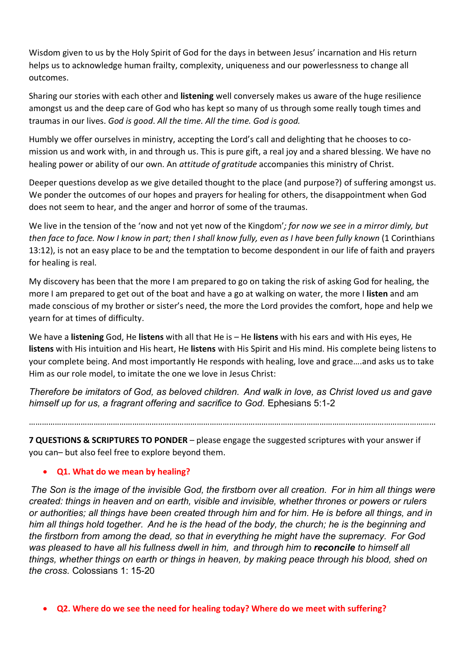Wisdom given to us by the Holy Spirit of God for the days in between Jesus' incarnation and His return helps us to acknowledge human frailty, complexity, uniqueness and our powerlessness to change all outcomes.

Sharing our stories with each other and **listening** well conversely makes us aware of the huge resilience amongst us and the deep care of God who has kept so many of us through some really tough times and traumas in our lives. *God is good*. *All the time. All the time. God is good.*

Humbly we offer ourselves in ministry, accepting the Lord's call and delighting that he chooses to comission us and work with, in and through us. This is pure gift, a real joy and a shared blessing. We have no healing power or ability of our own. An *attitude of gratitude* accompanies this ministry of Christ.

Deeper questions develop as we give detailed thought to the place (and purpose?) of suffering amongst us. We ponder the outcomes of our hopes and prayers for healing for others, the disappointment when God does not seem to hear, and the anger and horror of some of the traumas.

We live in the tension of the 'now and not yet now of the Kingdom'*; for now we see in a mirror dimly, but then face to face. Now I know in part; then I shall know fully, even as I have been fully known* (1 Corinthians 13:12), is not an easy place to be and the temptation to become despondent in our life of faith and prayers for healing is real.

My discovery has been that the more I am prepared to go on taking the risk of asking God for healing, the more I am prepared to get out of the boat and have a go at walking on water, the more I **listen** and am made conscious of my brother or sister's need, the more the Lord provides the comfort, hope and help we yearn for at times of difficulty.

We have a **listening** God, He **listens** with all that He is – He **listens** with his ears and with His eyes, He **listens** with His intuition and His heart, He **listens** with His Spirit and His mind. His complete being listens to your complete being. And most importantly He responds with healing, love and grace….and asks us to take Him as our role model, to imitate the one we love in Jesus Christ:

*Therefore be imitators of God, as beloved children. And walk in love, as Christ loved us and gave himself up for us, a fragrant offering and sacrifice to God.* Ephesians 5:1-2

………………………………………………………………………………………………………………………………………………………………………

**7 QUESTIONS & SCRIPTURES TO PONDER** – please engage the suggested scriptures with your answer if you can– but also feel free to explore beyond them.

# • **Q1. What do we mean by healing?**

*The Son is the image of the invisible God, the firstborn over all creation. For in him all things were created: things in heaven and on earth, visible and invisible, whether thrones or powers or rulers or authorities; all things have been created through him and for him. He is before all things, and in him all things hold together. And he is the head of the body, the church; he is the beginning and the firstborn from among the dead, so that in everything he might have the supremacy. For God was pleased to have all his fullness dwell in him, and through him to reconcile to himself all things, whether things on earth or things in heaven, by making peace through his blood, shed on the cross.* Colossians 1: 15-20